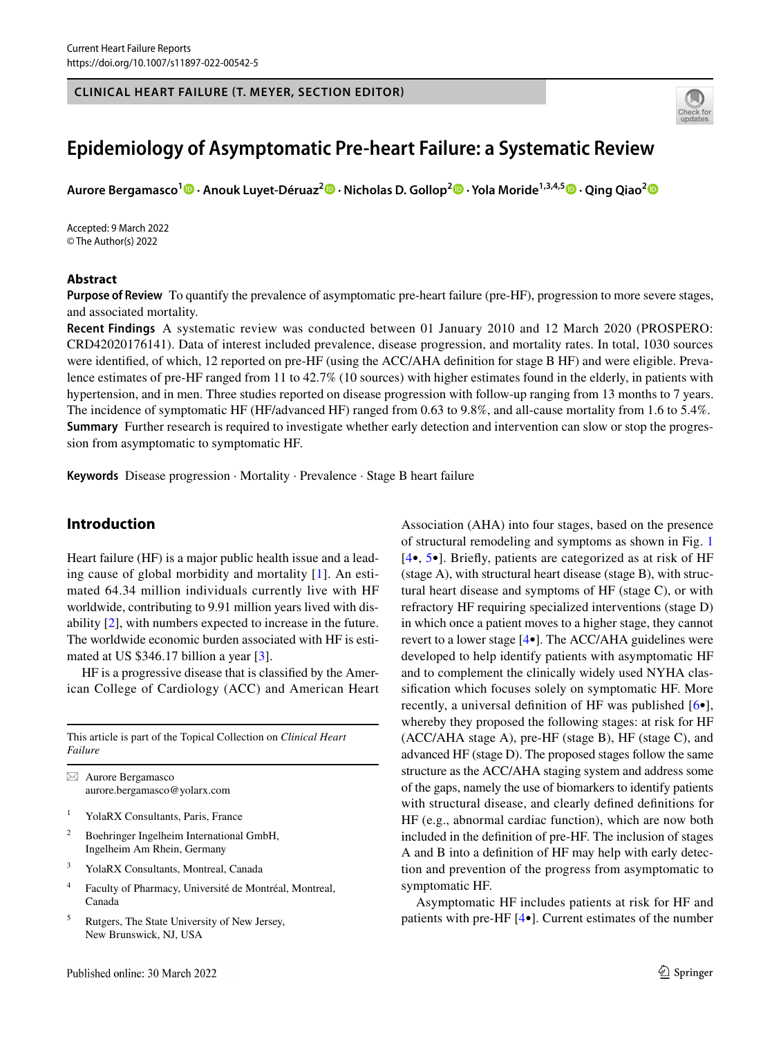#### **CLINICAL HEART FAILURE (T. MEYER, SECTION EDITOR)**



# **Epidemiology of Asymptomatic Pre‑heart Failure: a Systematic Review**

**Aurore Bergamasco1 · Anouk Luyet‑Déruaz2  [·](http://orcid.org/0000-0001-7396-7392) Nicholas D. Gollop2  [·](http://orcid.org/0000-0002-8105-9404) Yola Moride1,3,4,5  [·](http://orcid.org/0000-0002-8753-2274) Qing Qiao[2](http://orcid.org/0000-0002-2549-6415)**

Accepted: 9 March 2022 © The Author(s) 2022

## **Abstract**

**Purpose of Review** To quantify the prevalence of asymptomatic pre-heart failure (pre-HF), progression to more severe stages, and associated mortality.

**Recent Findings** A systematic review was conducted between 01 January 2010 and 12 March 2020 (PROSPERO: CRD42020176141). Data of interest included prevalence, disease progression, and mortality rates. In total, 1030 sources were identifed, of which, 12 reported on pre-HF (using the ACC/AHA defnition for stage B HF) and were eligible. Prevalence estimates of pre-HF ranged from 11 to 42.7% (10 sources) with higher estimates found in the elderly, in patients with hypertension, and in men. Three studies reported on disease progression with follow-up ranging from 13 months to 7 years. The incidence of symptomatic HF (HF/advanced HF) ranged from 0.63 to 9.8%, and all-cause mortality from 1.6 to 5.4%. **Summary** Further research is required to investigate whether early detection and intervention can slow or stop the progression from asymptomatic to symptomatic HF.

**Keywords** Disease progression · Mortality · Prevalence · Stage B heart failure

# **Introduction**

Heart failure (HF) is a major public health issue and a leading cause of global morbidity and mortality [\[1](#page-8-0)]. An estimated 64.34 million individuals currently live with HF worldwide, contributing to 9.91 million years lived with disability [[2\]](#page-8-1), with numbers expected to increase in the future. The worldwide economic burden associated with HF is estimated at US \$346.17 billion a year [\[3](#page-8-2)].

HF is a progressive disease that is classifed by the American College of Cardiology (ACC) and American Heart

This article is part of the Topical Collection on *Clinical Heart Failure*

 $\boxtimes$  Aurore Bergamasco aurore.bergamasco@yolarx.com

- <sup>1</sup> YolaRX Consultants, Paris, France
- <sup>2</sup> Boehringer Ingelheim International GmbH, Ingelheim Am Rhein, Germany
- <sup>3</sup> YolaRX Consultants, Montreal, Canada
- <sup>4</sup> Faculty of Pharmacy, Université de Montréal, Montreal, Canada
- <sup>5</sup> Rutgers, The State University of New Jersey, New Brunswick, NJ, USA

Association (AHA) into four stages, based on the presence of structural remodeling and symptoms as shown in Fig. [1](#page-1-0) [[4•](#page-8-3), [5](#page-8-4)•]. Briefy, patients are categorized as at risk of HF (stage A), with structural heart disease (stage B), with structural heart disease and symptoms of HF (stage C), or with refractory HF requiring specialized interventions (stage D) in which once a patient moves to a higher stage, they cannot revert to a lower stage [\[4](#page-8-3)•]. The ACC/AHA guidelines were developed to help identify patients with asymptomatic HF and to complement the clinically widely used NYHA classifcation which focuses solely on symptomatic HF. More recently, a universal defnition of HF was published [[6•](#page-8-5)], whereby they proposed the following stages: at risk for HF (ACC/AHA stage A), pre-HF (stage B), HF (stage C), and advanced HF (stage D). The proposed stages follow the same structure as the ACC/AHA staging system and address some of the gaps, namely the use of biomarkers to identify patients with structural disease, and clearly defned defnitions for HF (e.g., abnormal cardiac function), which are now both included in the defnition of pre-HF. The inclusion of stages A and B into a defnition of HF may help with early detection and prevention of the progress from asymptomatic to symptomatic HF.

Asymptomatic HF includes patients at risk for HF and patients with pre-HF [[4•](#page-8-3)]. Current estimates of the number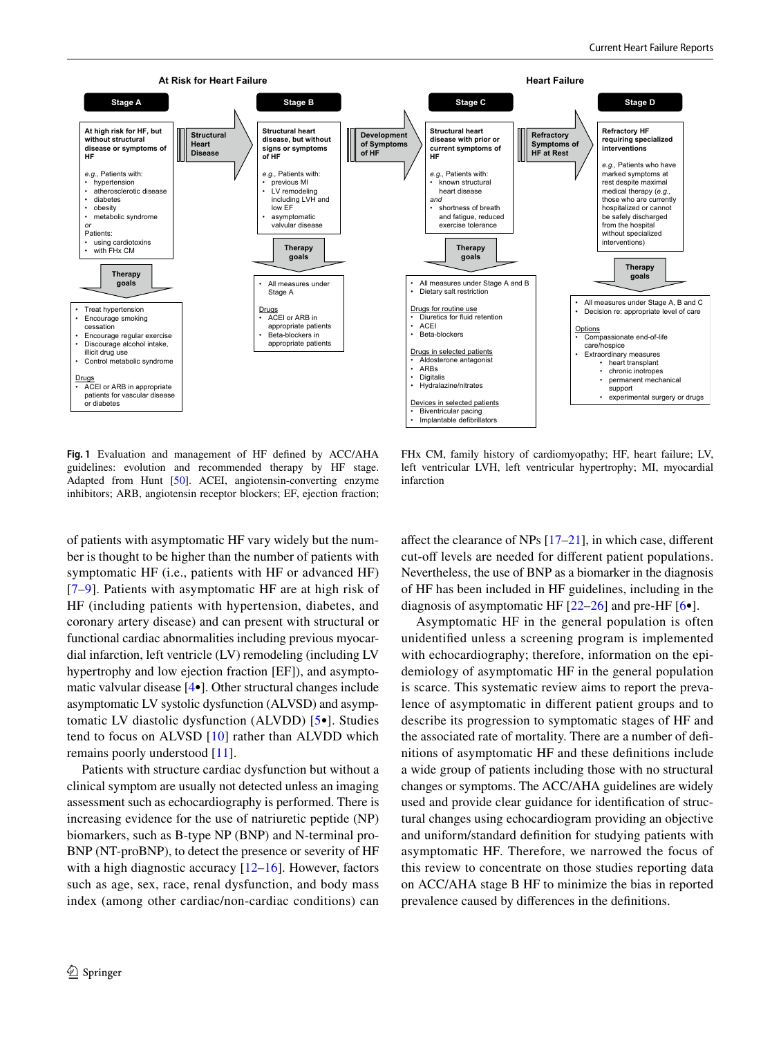

<span id="page-1-0"></span>**Fig. 1** Evaluation and management of HF defned by ACC/AHA guidelines: evolution and recommended therapy by HF stage. Adapted from Hunt [[50](#page-10-0)]. ACEI, angiotensin-converting enzyme inhibitors; ARB, angiotensin receptor blockers; EF, ejection fraction;

FHx CM, family history of cardiomyopathy; HF, heart failure; LV, left ventricular LVH, left ventricular hypertrophy; MI, myocardial infarction

of patients with asymptomatic HF vary widely but the number is thought to be higher than the number of patients with symptomatic HF (i.e., patients with HF or advanced HF) [[7–](#page-8-6)[9\]](#page-8-7). Patients with asymptomatic HF are at high risk of HF (including patients with hypertension, diabetes, and coronary artery disease) and can present with structural or functional cardiac abnormalities including previous myocardial infarction, left ventricle (LV) remodeling (including LV hypertrophy and low ejection fraction [EF]), and asymptomatic valvular disease [[4•](#page-8-3)]. Other structural changes include asymptomatic LV systolic dysfunction (ALVSD) and asymptomatic LV diastolic dysfunction (ALVDD) [[5](#page-8-4)•]. Studies tend to focus on ALVSD [[10](#page-8-8)] rather than ALVDD which remains poorly understood [[11\]](#page-8-9).

Patients with structure cardiac dysfunction but without a clinical symptom are usually not detected unless an imaging assessment such as echocardiography is performed. There is increasing evidence for the use of natriuretic peptide (NP) biomarkers, such as B-type NP (BNP) and N-terminal pro-BNP (NT-proBNP), to detect the presence or severity of HF with a high diagnostic accuracy  $[12-16]$  $[12-16]$ . However, factors such as age, sex, race, renal dysfunction, and body mass index (among other cardiac/non-cardiac conditions) can afect the clearance of NPs [\[17](#page-9-1)[–21](#page-9-2)], in which case, diferent cut-off levels are needed for different patient populations. Nevertheless, the use of BNP as a biomarker in the diagnosis of HF has been included in HF guidelines, including in the diagnosis of asymptomatic HF  $[22–26]$  $[22–26]$  and pre-HF  $[6\bullet]$  $[6\bullet]$ .

Asymptomatic HF in the general population is often unidentifed unless a screening program is implemented with echocardiography; therefore, information on the epidemiology of asymptomatic HF in the general population is scarce. This systematic review aims to report the prevalence of asymptomatic in diferent patient groups and to describe its progression to symptomatic stages of HF and the associated rate of mortality. There are a number of defnitions of asymptomatic HF and these defnitions include a wide group of patients including those with no structural changes or symptoms. The ACC/AHA guidelines are widely used and provide clear guidance for identifcation of structural changes using echocardiogram providing an objective and uniform/standard defnition for studying patients with asymptomatic HF. Therefore, we narrowed the focus of this review to concentrate on those studies reporting data on ACC/AHA stage B HF to minimize the bias in reported prevalence caused by diferences in the defnitions.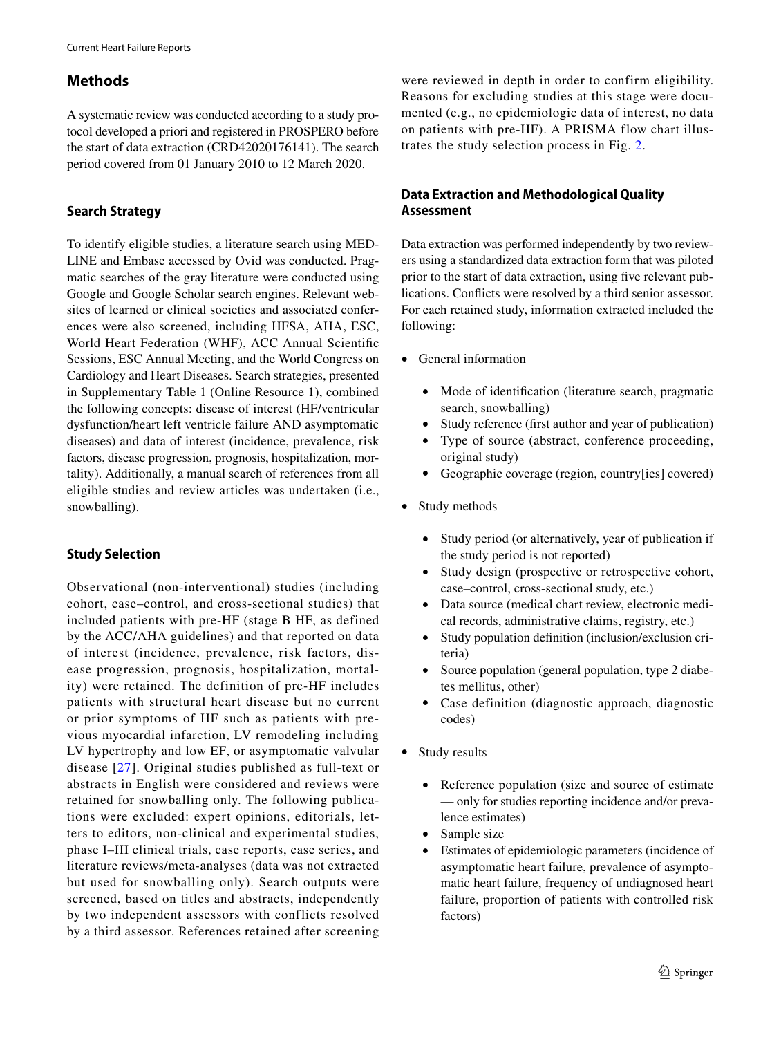# **Methods**

A systematic review was conducted according to a study protocol developed a priori and registered in PROSPERO before the start of data extraction (CRD42020176141). The search period covered from 01 January 2010 to 12 March 2020.

# **Search Strategy**

To identify eligible studies, a literature search using MED-LINE and Embase accessed by Ovid was conducted. Pragmatic searches of the gray literature were conducted using Google and Google Scholar search engines. Relevant websites of learned or clinical societies and associated conferences were also screened, including HFSA, AHA, ESC, World Heart Federation (WHF), ACC Annual Scientifc Sessions, ESC Annual Meeting, and the World Congress on Cardiology and Heart Diseases. Search strategies, presented in Supplementary Table 1 (Online Resource 1), combined the following concepts: disease of interest (HF/ventricular dysfunction/heart left ventricle failure AND asymptomatic diseases) and data of interest (incidence, prevalence, risk factors, disease progression, prognosis, hospitalization, mortality). Additionally, a manual search of references from all eligible studies and review articles was undertaken (i.e., snowballing).

# **Study Selection**

Observational (non-interventional) studies (including cohort, case–control, and cross-sectional studies) that included patients with pre-HF (stage B HF, as defined by the ACC/AHA guidelines) and that reported on data of interest (incidence, prevalence, risk factors, disease progression, prognosis, hospitalization, mortality) were retained. The definition of pre-HF includes patients with structural heart disease but no current or prior symptoms of HF such as patients with previous myocardial infarction, LV remodeling including LV hypertrophy and low EF, or asymptomatic valvular disease [[27](#page-9-5)]. Original studies published as full-text or abstracts in English were considered and reviews were retained for snowballing only. The following publications were excluded: expert opinions, editorials, letters to editors, non-clinical and experimental studies, phase I–III clinical trials, case reports, case series, and literature reviews/meta-analyses (data was not extracted but used for snowballing only). Search outputs were screened, based on titles and abstracts, independently by two independent assessors with conflicts resolved by a third assessor. References retained after screening

were reviewed in depth in order to confirm eligibility. Reasons for excluding studies at this stage were documented (e.g., no epidemiologic data of interest, no data on patients with pre-HF). A PRISMA flow chart illustrates the study selection process in Fig. [2.](#page-3-0)

# **Data Extraction and Methodological Quality Assessment**

Data extraction was performed independently by two reviewers using a standardized data extraction form that was piloted prior to the start of data extraction, using five relevant publications. Conficts were resolved by a third senior assessor. For each retained study, information extracted included the following:

- General information
	- Mode of identifcation (literature search, pragmatic search, snowballing)
	- Study reference (first author and year of publication)
	- Type of source (abstract, conference proceeding, original study)
	- Geographic coverage (region, country[ies] covered)
- Study methods
	- Study period (or alternatively, year of publication if the study period is not reported)
	- Study design (prospective or retrospective cohort, case–control, cross-sectional study, etc.)
	- Data source (medical chart review, electronic medical records, administrative claims, registry, etc.)
	- Study population definition (inclusion/exclusion criteria)
	- Source population (general population, type 2 diabetes mellitus, other)
	- Case definition (diagnostic approach, diagnostic codes)
- Study results
	- Reference population (size and source of estimate — only for studies reporting incidence and/or prevalence estimates)
	- Sample size
	- Estimates of epidemiologic parameters (incidence of asymptomatic heart failure, prevalence of asymptomatic heart failure, frequency of undiagnosed heart failure, proportion of patients with controlled risk factors)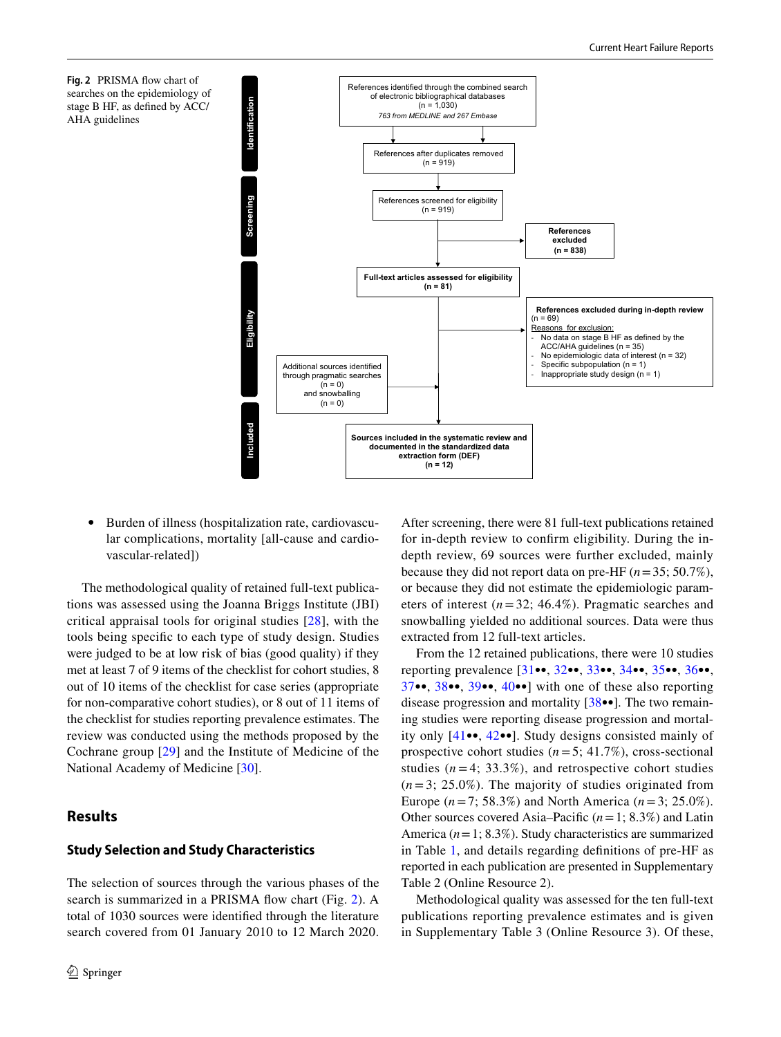<span id="page-3-0"></span>



• Burden of illness (hospitalization rate, cardiovascular complications, mortality [all-cause and cardiovascular-related])

The methodological quality of retained full-text publications was assessed using the Joanna Briggs Institute (JBI) critical appraisal tools for original studies [[28](#page-9-6)], with the tools being specifc to each type of study design. Studies were judged to be at low risk of bias (good quality) if they met at least 7 of 9 items of the checklist for cohort studies, 8 out of 10 items of the checklist for case series (appropriate for non-comparative cohort studies), or 8 out of 11 items of the checklist for studies reporting prevalence estimates. The review was conducted using the methods proposed by the Cochrane group [[29](#page-9-7)] and the Institute of Medicine of the National Academy of Medicine [[30\]](#page-9-8).

# **Results**

## **Study Selection and Study Characteristics**

The selection of sources through the various phases of the search is summarized in a PRISMA fow chart (Fig. [2](#page-3-0)). A total of 1030 sources were identifed through the literature search covered from 01 January 2010 to 12 March 2020.

After screening, there were 81 full-text publications retained for in-depth review to confrm eligibility. During the indepth review, 69 sources were further excluded, mainly because they did not report data on pre-HF (*n*=35; 50.7%), or because they did not estimate the epidemiologic parameters of interest  $(n=32; 46.4\%)$ . Pragmatic searches and snowballing yielded no additional sources. Data were thus extracted from 12 full-text articles.

From the 12 retained publications, there were 10 studies reporting prevalence [[31•](#page-9-9)•, [32•](#page-9-10)•, [33•](#page-9-11)•, [34•](#page-9-12)•, [35•](#page-9-13)•, [36•](#page-9-14)•, [37•](#page-10-1)•, [38](#page-10-2)••, [39•](#page-10-3)•, [40](#page-10-4)••] with one of these also reporting disease progression and mortality [[38](#page-10-2)••]. The two remaining studies were reporting disease progression and mortality only [[41•](#page-10-5)•, [42](#page-10-6)••]. Study designs consisted mainly of prospective cohort studies (*n*=5; 41.7%), cross-sectional studies  $(n=4; 33.3\%)$ , and retrospective cohort studies  $(n=3; 25.0\%)$ . The majority of studies originated from Europe (*n*=7; 58.3%) and North America (*n*=3; 25.0%). Other sources covered Asia–Pacifc (*n*=1; 8.3%) and Latin America (*n*=1; 8.3%). Study characteristics are summarized in Table [1](#page-4-0), and details regarding defnitions of pre-HF as reported in each publication are presented in Supplementary Table 2 (Online Resource 2).

Methodological quality was assessed for the ten full-text publications reporting prevalence estimates and is given in Supplementary Table 3 (Online Resource 3). Of these,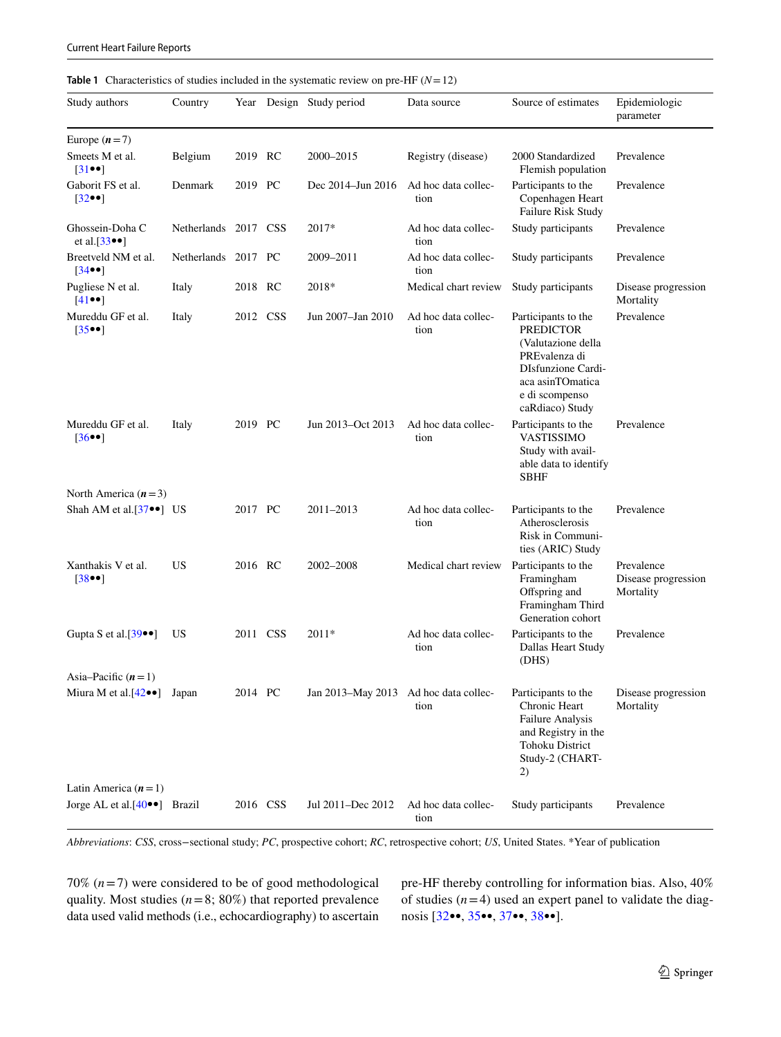#### <span id="page-4-0"></span>**Table 1** Characteristics of studies included in the systematic review on pre-HF (*N*=12)

| Study authors                                                          | Country              |          |          | Year Design Study period              | Data source                 | Source of estimates                                                                                                                                                  | Epidemiologic<br>parameter                     |
|------------------------------------------------------------------------|----------------------|----------|----------|---------------------------------------|-----------------------------|----------------------------------------------------------------------------------------------------------------------------------------------------------------------|------------------------------------------------|
| Europe $(n=7)$                                                         |                      |          |          |                                       |                             |                                                                                                                                                                      |                                                |
| Smeets M et al.<br>$\lceil 31 \bullet \bullet \rceil$                  | Belgium              | 2019 RC  |          | 2000-2015                             | Registry (disease)          | 2000 Standardized<br>Flemish population                                                                                                                              | Prevalence                                     |
| Gaborit FS et al.<br>$[32\bullet\bullet]$                              | Denmark              | 2019 PC  |          | Dec 2014–Jun 2016                     | Ad hoc data collec-<br>tion | Participants to the<br>Copenhagen Heart<br>Failure Risk Study                                                                                                        | Prevalence                                     |
| Ghossein-Doha C<br>et al. $[33\bullet]$                                | Netherlands 2017 CSS |          |          | 2017*                                 | Ad hoc data collec-<br>tion | Study participants                                                                                                                                                   | Prevalence                                     |
| Breetveld NM et al.<br>$[34\bullet]$                                   | Netherlands          | 2017 PC  |          | 2009–2011                             | Ad hoc data collec-<br>tion | Study participants                                                                                                                                                   | Prevalence                                     |
| Pugliese N et al.<br>$[41\bullet\bullet]$                              | Italy                | 2018 RC  |          | 2018*                                 | Medical chart review        | Study participants                                                                                                                                                   | Disease progression<br>Mortality               |
| Mureddu GF et al.<br>$\left[35\bullet\bullet\right]$                   | Italy                |          | 2012 CSS | Jun 2007-Jan 2010                     | Ad hoc data collec-<br>tion | Participants to the<br><b>PREDICTOR</b><br>(Valutazione della<br>PREvalenza di<br><b>DIsfunzione Cardi-</b><br>aca asinTOmatica<br>e di scompenso<br>caRdiaco) Study | Prevalence                                     |
| Mureddu GF et al.<br>$[36\bullet]$                                     | Italy                | 2019 PC  |          | Jun 2013-Oct 2013                     | Ad hoc data collec-<br>tion | Participants to the<br>VASTISSIMO<br>Study with avail-<br>able data to identify<br>SBHF                                                                              | Prevalence                                     |
| North America $(n=3)$                                                  |                      |          |          |                                       |                             |                                                                                                                                                                      |                                                |
| Shah AM et al. $[37\bullet ]$ US                                       |                      | 2017 PC  |          | 2011–2013                             | Ad hoc data collec-<br>tion | Participants to the<br>Atherosclerosis<br>Risk in Communi-<br>ties (ARIC) Study                                                                                      | Prevalence                                     |
| Xanthakis V et al.<br>[38●●]                                           | <b>US</b>            | 2016 RC  |          | 2002–2008                             | Medical chart review        | Participants to the<br>Framingham<br>Offspring and<br>Framingham Third<br>Generation cohort                                                                          | Prevalence<br>Disease progression<br>Mortality |
| Gupta S et al. $[39\bullet\bullet]$                                    | US                   | 2011 CSS |          | 2011*                                 | Ad hoc data collec-<br>tion | Participants to the<br>Dallas Heart Study<br>(DHS)                                                                                                                   | Prevalence                                     |
| Asia–Pacific $(n=1)$                                                   |                      |          |          |                                       |                             |                                                                                                                                                                      |                                                |
| Miura M et al. $[42 \bullet \bullet]$ Japan                            |                      | 2014 PC  |          | Jan 2013–May 2013 Ad hoc data collec- | tion                        | Participants to the<br>Chronic Heart<br>Failure Analysis<br>and Registry in the<br><b>Tohoku District</b><br>Study-2 (CHART-<br>2)                                   | Disease progression<br>Mortality               |
| Latin America $(n=1)$<br>Jorge AL et al. $[40 \bullet \bullet]$ Brazil |                      |          | 2016 CSS | Jul 2011-Dec 2012                     | Ad hoc data collec-         | Study participants                                                                                                                                                   | Prevalence                                     |
|                                                                        |                      |          |          |                                       | tion                        |                                                                                                                                                                      |                                                |

*Abbreviations*: *CSS*, cross−sectional study; *PC*, prospective cohort; *RC*, retrospective cohort; *US*, United States. \*Year of publication

70%  $(n=7)$  were considered to be of good methodological quality. Most studies  $(n=8; 80%)$  that reported prevalence data used valid methods (i.e., echocardiography) to ascertain pre-HF thereby controlling for information bias. Also, 40% of studies  $(n=4)$  used an expert panel to validate the diagnosis [[32•](#page-9-10)•, [35•](#page-9-13)•, [37•](#page-10-1)•, [38](#page-10-2)••].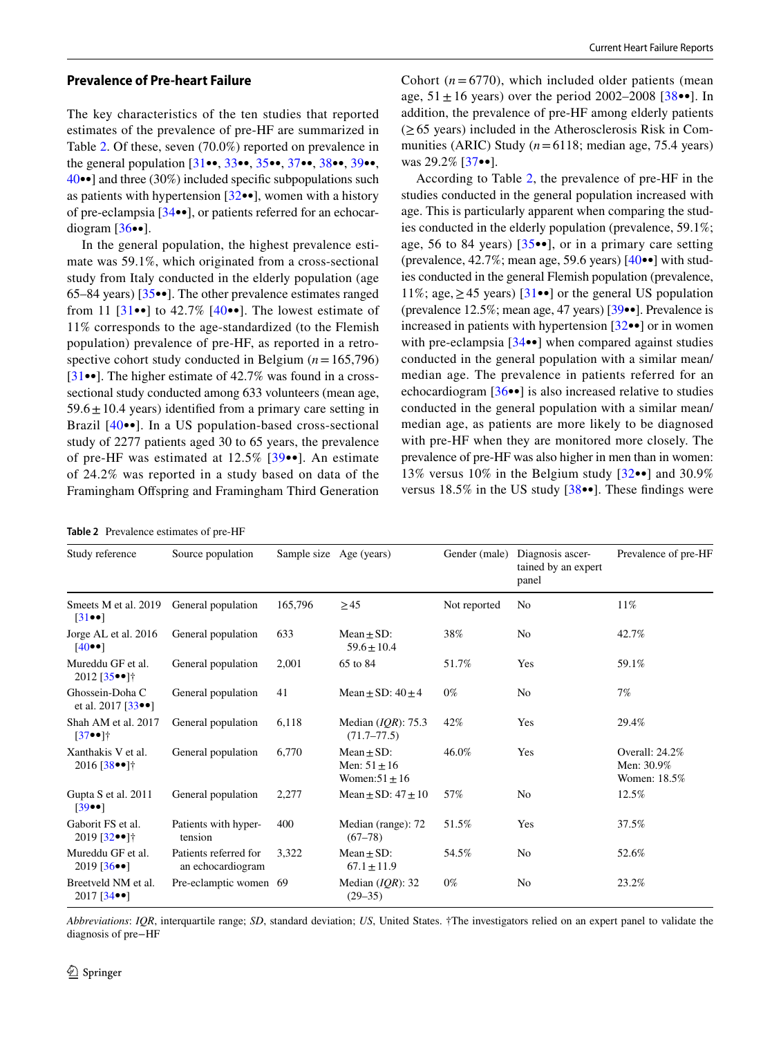## **Prevalence of Pre‑heart Failure**

The key characteristics of the ten studies that reported estimates of the prevalence of pre-HF are summarized in Table [2](#page-5-0). Of these, seven (70.0%) reported on prevalence in the general population [\[31](#page-9-9)••, [33](#page-9-11)••, [35](#page-9-13)••, [37](#page-10-1)••, [38•](#page-10-2)•, [39•](#page-10-3)•, [40•](#page-10-4)•] and three (30%) included specifc subpopulations such as patients with hypertension  $[32\bullet]$  $[32\bullet]$ , women with a history of pre-eclampsia [[34•](#page-9-12)•], or patients referred for an echocardiogram  $[36\bullet]$ .

In the general population, the highest prevalence estimate was 59.1%, which originated from a cross-sectional study from Italy conducted in the elderly population (age 65–84 years) [[35•](#page-9-13)•]. The other prevalence estimates ranged from 11  $[31\bullet\bullet]$  $[31\bullet\bullet]$  $[31\bullet\bullet]$  to 42.7%  $[40\bullet\bullet]$ . The lowest estimate of 11% corresponds to the age-standardized (to the Flemish population) prevalence of pre-HF, as reported in a retrospective cohort study conducted in Belgium (*n*=165,796) [\[31•](#page-9-9)•]. The higher estimate of 42.7% was found in a crosssectional study conducted among 633 volunteers (mean age,  $59.6 \pm 10.4$  years) identified from a primary care setting in Brazil [[40](#page-10-4)••]. In a US population-based cross-sectional study of 2277 patients aged 30 to 65 years, the prevalence of pre-HF was estimated at 12.5% [\[39•](#page-10-3)•]. An estimate of 24.2% was reported in a study based on data of the Framingham Ofspring and Framingham Third Generation

<span id="page-5-0"></span>

Cohort  $(n=6770)$ , which included older patients (mean age,  $51 \pm 16$  years) over the period 2002–2008 [ $38 \cdot \cdot$  $38 \cdot \cdot$ ]. In addition, the prevalence of pre-HF among elderly patients  $(\geq 65$  years) included in the Atherosclerosis Risk in Communities (ARIC) Study (*n*=6118; median age, 75.4 years) was 29.2% [[37](#page-10-1)••].

According to Table [2,](#page-5-0) the prevalence of pre-HF in the studies conducted in the general population increased with age. This is particularly apparent when comparing the studies conducted in the elderly population (prevalence, 59.1%; age, 56 to 84 years) [[35](#page-9-13)••], or in a primary care setting (prevalence,  $42.7\%$ ; mean age, 59.6 years)  $[40\bullet]$  with studies conducted in the general Flemish population (prevalence, 11%; age,  $\geq$  45 years) [[31](#page-9-9)••] or the general US population (prevalence 12.5%; mean age, 47 years) [\[39](#page-10-3)••]. Prevalence is increased in patients with hypertension [\[32](#page-9-10)••] or in women with pre-eclampsia [[34](#page-9-12)••] when compared against studies conducted in the general population with a similar mean/ median age. The prevalence in patients referred for an echocardiogram [\[36•](#page-9-14)•] is also increased relative to studies conducted in the general population with a similar mean/ median age, as patients are more likely to be diagnosed with pre-HF when they are monitored more closely. The prevalence of pre-HF was also higher in men than in women: 13% versus 10% in the Belgium study [[32](#page-9-10)••] and 30.9% versus  $18.5\%$  in the US study  $[38\bullet\bullet]$ . These findings were

| Study reference                                         | Source population                          |         | Sample size Age (years)                                  | Gender (male) | Diagnosis ascer-<br>tained by an expert<br>panel | Prevalence of pre-HF                         |
|---------------------------------------------------------|--------------------------------------------|---------|----------------------------------------------------------|---------------|--------------------------------------------------|----------------------------------------------|
| Smeets M et al. 2019<br>$\left 31\bullet\bullet\right $ | General population                         | 165,796 | $\geq$ 45                                                | Not reported  | N <sub>0</sub>                                   | 11%                                          |
| Jorge AL et al. 2016<br>$[40\bullet]$                   | General population                         | 633     | $Mean + SD$ :<br>$59.6 + 10.4$                           | 38%           | N <sub>0</sub>                                   | 42.7%                                        |
| Mureddu GF et al.<br>$2012$ [35 $\bullet$ ]†            | General population                         | 2,001   | 65 to 84                                                 | 51.7%         | Yes                                              | 59.1%                                        |
| Ghossein-Doha C<br>et al. 2017 [ $33 \bullet$ ]         | General population                         | 41      | Mean $\pm$ SD: $40 \pm 4$                                | $0\%$         | N <sub>0</sub>                                   | $7\%$                                        |
| Shah AM et al. 2017<br>$[37 \bullet ]$ †                | General population                         | 6,118   | Median $(IQR)$ : 75.3<br>$(71.7 - 77.5)$                 | 42%           | Yes                                              | 29.4%                                        |
| Xanthakis V et al.<br>$2016$ [38 $\bullet$ ]†           | General population                         | 6,770   | Mean $\pm$ SD:<br>Men: $51 \pm 16$<br>Women: $51 \pm 16$ | 46.0%         | Yes                                              | Overall: 24.2%<br>Men: 30.9%<br>Women: 18.5% |
| Gupta S et al. 2011<br>$[39\bullet]$                    | General population                         | 2,277   | Mean $\pm$ SD: 47 $\pm$ 10                               | 57%           | N <sub>0</sub>                                   | 12.5%                                        |
| Gaborit FS et al.<br>$2019$ [32 $\bullet$ ]†            | Patients with hyper-<br>tension            | 400     | Median (range): 72<br>$(67 - 78)$                        | 51.5%         | Yes                                              | 37.5%                                        |
| Mureddu GF et al.<br>$2019$ [36 $\bullet\bullet$ ]      | Patients referred for<br>an echocardiogram | 3,322   | Mean $\pm$ SD:<br>$67.1 \pm 11.9$                        | 54.5%         | N <sub>0</sub>                                   | 52.6%                                        |
| Breetveld NM et al.<br>$2017$ [34 $\bullet\bullet$ ]    | Pre-eclamptic women 69                     |         | Median $(IQR)$ : 32<br>$(29 - 35)$                       | $0\%$         | No                                               | 23.2%                                        |

*Abbreviations*: *IQR*, interquartile range; *SD*, standard deviation; *US*, United States. †The investigators relied on an expert panel to validate the diagnosis of pre−HF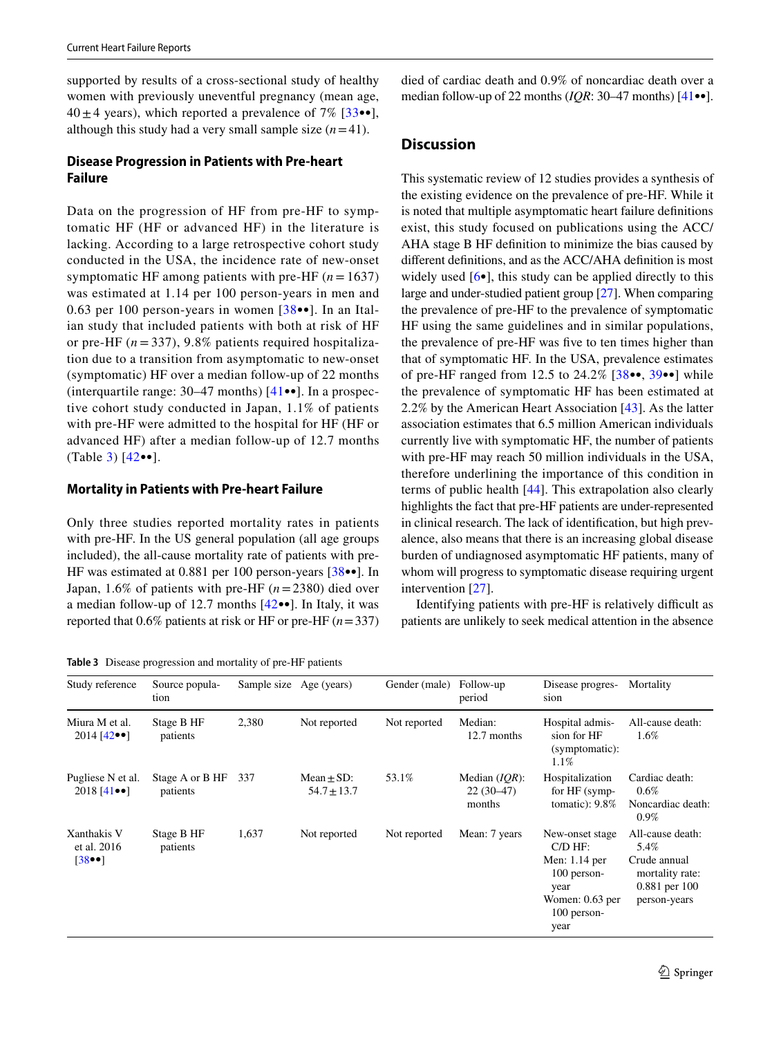supported by results of a cross-sectional study of healthy women with previously uneventful pregnancy (mean age,  $40 \pm 4$  years), which reported a prevalence of 7% [[33•](#page-9-11)•], although this study had a very small sample size  $(n=41)$ .

## **Disease Progression in Patients with Pre‑heart Failure**

Data on the progression of HF from pre-HF to symptomatic HF (HF or advanced HF) in the literature is lacking. According to a large retrospective cohort study conducted in the USA, the incidence rate of new-onset symptomatic HF among patients with pre-HF  $(n = 1637)$ was estimated at 1.14 per 100 person-years in men and 0.63 per 100 person-years in women [[38•](#page-10-2)•]. In an Italian study that included patients with both at risk of HF or pre-HF (*n* = 337), 9.8% patients required hospitalization due to a transition from asymptomatic to new-onset (symptomatic) HF over a median follow-up of 22 months (interquartile range: 30–47 months) [\[41•](#page-10-5)•]. In a prospective cohort study conducted in Japan, 1.1% of patients with pre-HF were admitted to the hospital for HF (HF or advanced HF) after a median follow-up of 12.7 months (Table [3\)](#page-6-0) [\[42](#page-10-6)••].

## **Mortality in Patients with Pre‑heart Failure**

Only three studies reported mortality rates in patients with pre-HF. In the US general population (all age groups included), the all-cause mortality rate of patients with pre-HF was estimated at 0.881 per 100 person-years [[38](#page-10-2)••]. In Japan, 1.6% of patients with pre-HF (*n*=2380) died over a median follow-up of 12.7 months [[42](#page-10-6)••]. In Italy, it was reported that 0.6% patients at risk or HF or pre-HF (*n*=337)

<span id="page-6-0"></span>**Table 3** Disease progression and mortality of pre-HF patients

died of cardiac death and 0.9% of noncardiac death over a median follow-up of 22 months (*IQR*: 30–47 months) [[41•](#page-10-5)•].

# **Discussion**

This systematic review of 12 studies provides a synthesis of the existing evidence on the prevalence of pre-HF. While it is noted that multiple asymptomatic heart failure defnitions exist, this study focused on publications using the ACC/ AHA stage B HF defnition to minimize the bias caused by diferent defnitions, and as the ACC/AHA defnition is most widely used  $[6\bullet]$ , this study can be applied directly to this large and under-studied patient group [\[27\]](#page-9-5). When comparing the prevalence of pre-HF to the prevalence of symptomatic HF using the same guidelines and in similar populations, the prevalence of pre-HF was fve to ten times higher than that of symptomatic HF. In the USA, prevalence estimates of pre-HF ranged from 12.5 to  $24.2\%$  [ $38\bullet\bullet$  $38\bullet\bullet$ ,  $39\bullet\bullet$ ] while the prevalence of symptomatic HF has been estimated at 2.2% by the American Heart Association [[43\]](#page-10-7). As the latter association estimates that 6.5 million American individuals currently live with symptomatic HF, the number of patients with pre-HF may reach 50 million individuals in the USA, therefore underlining the importance of this condition in terms of public health [\[44](#page-10-8)]. This extrapolation also clearly highlights the fact that pre-HF patients are under-represented in clinical research. The lack of identifcation, but high prevalence, also means that there is an increasing global disease burden of undiagnosed asymptomatic HF patients, many of whom will progress to symptomatic disease requiring urgent intervention [[27\]](#page-9-5).

Identifying patients with pre-HF is relatively difficult as patients are unlikely to seek medical attention in the absence

| $\bullet$ is notice progression and mortainty or pre-rin-patients. |                             |       |                                    |               |                                           |                                                                                                                  |                                                                                                |
|--------------------------------------------------------------------|-----------------------------|-------|------------------------------------|---------------|-------------------------------------------|------------------------------------------------------------------------------------------------------------------|------------------------------------------------------------------------------------------------|
| Study reference                                                    | Source popula-<br>tion      |       | Sample size Age (years)            | Gender (male) | Follow-up<br>period                       | Disease progres-<br>sion                                                                                         | Mortality                                                                                      |
| Miura M et al.<br>$2014$ [42 $\bullet$ ]                           | Stage B HF<br>patients      | 2,380 | Not reported                       | Not reported  | Median:<br>12.7 months                    | Hospital admis-<br>sion for HF<br>(symptomatic):<br>$1.1\%$                                                      | All-cause death:<br>$1.6\%$                                                                    |
| Pugliese N et al.<br>$2018$ [41 $\bullet$ ]                        | Stage A or B HF<br>patients | 337   | $Mean \pm SD$ :<br>$54.7 \pm 13.7$ | 53.1%         | Median $(IQR)$ :<br>$22(30-47)$<br>months | Hospitalization<br>for HF (symp-<br>tomatic): $9.8\%$                                                            | Cardiac death:<br>$0.6\%$<br>Noncardiac death:<br>$0.9\%$                                      |
| Xanthakis V<br>et al. 2016<br>[3800]                               | Stage B HF<br>patients      | 1,637 | Not reported                       | Not reported  | Mean: 7 years                             | New-onset stage<br>$C/D$ HF:<br>Men: 1.14 per<br>100 person-<br>year<br>Women: $0.63$ per<br>100 person-<br>year | All-cause death:<br>5.4%<br>Crude annual<br>mortality rate:<br>$0.881$ per 100<br>person-years |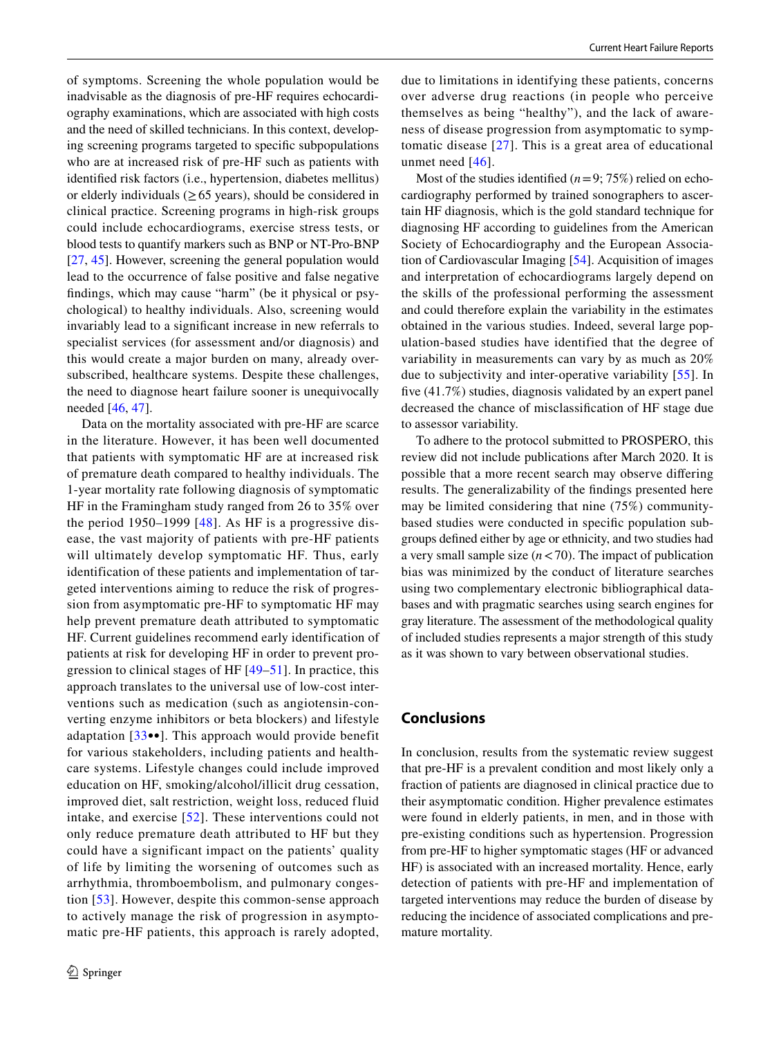of symptoms. Screening the whole population would be inadvisable as the diagnosis of pre-HF requires echocardiography examinations, which are associated with high costs and the need of skilled technicians. In this context, developing screening programs targeted to specifc subpopulations who are at increased risk of pre-HF such as patients with identifed risk factors (i.e., hypertension, diabetes mellitus) or elderly individuals ( $\geq 65$  years), should be considered in clinical practice. Screening programs in high-risk groups could include echocardiograms, exercise stress tests, or blood tests to quantify markers such as BNP or NT-Pro-BNP [\[27,](#page-9-5) [45\]](#page-10-9). However, screening the general population would lead to the occurrence of false positive and false negative fndings, which may cause "harm" (be it physical or psychological) to healthy individuals. Also, screening would invariably lead to a signifcant increase in new referrals to specialist services (for assessment and/or diagnosis) and this would create a major burden on many, already oversubscribed, healthcare systems. Despite these challenges, the need to diagnose heart failure sooner is unequivocally needed [\[46,](#page-10-10) [47\]](#page-10-11).

Data on the mortality associated with pre-HF are scarce in the literature. However, it has been well documented that patients with symptomatic HF are at increased risk of premature death compared to healthy individuals. The 1-year mortality rate following diagnosis of symptomatic HF in the Framingham study ranged from 26 to 35% over the period 1950–1999  $[48]$  $[48]$ . As HF is a progressive disease, the vast majority of patients with pre-HF patients will ultimately develop symptomatic HF. Thus, early identification of these patients and implementation of targeted interventions aiming to reduce the risk of progression from asymptomatic pre-HF to symptomatic HF may help prevent premature death attributed to symptomatic HF. Current guidelines recommend early identification of patients at risk for developing HF in order to prevent progression to clinical stages of HF [\[49–](#page-10-13)[51](#page-10-14)]. In practice, this approach translates to the universal use of low-cost interventions such as medication (such as angiotensin-converting enzyme inhibitors or beta blockers) and lifestyle adaptation [[33•](#page-9-11)•]. This approach would provide benefit for various stakeholders, including patients and healthcare systems. Lifestyle changes could include improved education on HF, smoking/alcohol/illicit drug cessation, improved diet, salt restriction, weight loss, reduced fluid intake, and exercise [[52\]](#page-10-15). These interventions could not only reduce premature death attributed to HF but they could have a significant impact on the patients' quality of life by limiting the worsening of outcomes such as arrhythmia, thromboembolism, and pulmonary congestion [[53](#page-10-16)]. However, despite this common-sense approach to actively manage the risk of progression in asymptomatic pre-HF patients, this approach is rarely adopted, due to limitations in identifying these patients, concerns over adverse drug reactions (in people who perceive themselves as being "healthy"), and the lack of awareness of disease progression from asymptomatic to symptomatic disease [\[27\]](#page-9-5). This is a great area of educational unmet need [[46\]](#page-10-10).

Most of the studies identified  $(n=9; 75%)$  relied on echocardiography performed by trained sonographers to ascertain HF diagnosis, which is the gold standard technique for diagnosing HF according to guidelines from the American Society of Echocardiography and the European Association of Cardiovascular Imaging [\[54\]](#page-10-17). Acquisition of images and interpretation of echocardiograms largely depend on the skills of the professional performing the assessment and could therefore explain the variability in the estimates obtained in the various studies. Indeed, several large population-based studies have identified that the degree of variability in measurements can vary by as much as 20% due to subjectivity and inter-operative variability [\[55\]](#page-10-18). In fve (41.7%) studies, diagnosis validated by an expert panel decreased the chance of misclassifcation of HF stage due to assessor variability.

To adhere to the protocol submitted to PROSPERO, this review did not include publications after March 2020. It is possible that a more recent search may observe difering results. The generalizability of the fndings presented here may be limited considering that nine (75%) communitybased studies were conducted in specifc population subgroups defned either by age or ethnicity, and two studies had a very small sample size  $(n < 70)$ . The impact of publication bias was minimized by the conduct of literature searches using two complementary electronic bibliographical databases and with pragmatic searches using search engines for gray literature. The assessment of the methodological quality of included studies represents a major strength of this study as it was shown to vary between observational studies.

## **Conclusions**

In conclusion, results from the systematic review suggest that pre-HF is a prevalent condition and most likely only a fraction of patients are diagnosed in clinical practice due to their asymptomatic condition. Higher prevalence estimates were found in elderly patients, in men, and in those with pre-existing conditions such as hypertension. Progression from pre-HF to higher symptomatic stages (HF or advanced HF) is associated with an increased mortality. Hence, early detection of patients with pre-HF and implementation of targeted interventions may reduce the burden of disease by reducing the incidence of associated complications and premature mortality.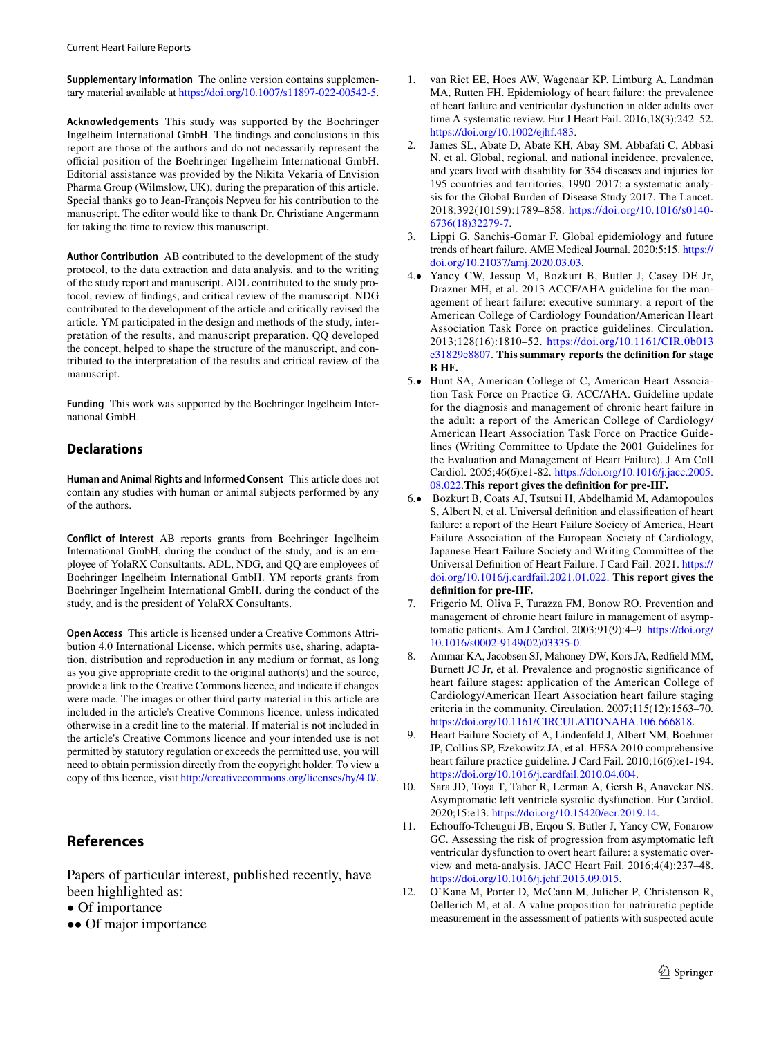**Supplementary Information** The online version contains supplementary material available at<https://doi.org/10.1007/s11897-022-00542-5>.

**Acknowledgements** This study was supported by the Boehringer Ingelheim International GmbH. The fndings and conclusions in this report are those of the authors and do not necessarily represent the official position of the Boehringer Ingelheim International GmbH. Editorial assistance was provided by the Nikita Vekaria of Envision Pharma Group (Wilmslow, UK), during the preparation of this article. Special thanks go to Jean-François Nepveu for his contribution to the manuscript. The editor would like to thank Dr. Christiane Angermann for taking the time to review this manuscript.

**Author Contribution** AB contributed to the development of the study protocol, to the data extraction and data analysis, and to the writing of the study report and manuscript. ADL contributed to the study protocol, review of fndings, and critical review of the manuscript. NDG contributed to the development of the article and critically revised the article. YM participated in the design and methods of the study, interpretation of the results, and manuscript preparation. QQ developed the concept, helped to shape the structure of the manuscript, and contributed to the interpretation of the results and critical review of the manuscript.

**Funding** This work was supported by the Boehringer Ingelheim International GmbH.

## **Declarations**

**Human and Animal Rights and Informed Consent** This article does not contain any studies with human or animal subjects performed by any of the authors.

**Conflict of Interest** AB reports grants from Boehringer Ingelheim International GmbH, during the conduct of the study, and is an employee of YolaRX Consultants. ADL, NDG, and QQ are employees of Boehringer Ingelheim International GmbH. YM reports grants from Boehringer Ingelheim International GmbH, during the conduct of the study, and is the president of YolaRX Consultants.

**Open Access** This article is licensed under a Creative Commons Attribution 4.0 International License, which permits use, sharing, adaptation, distribution and reproduction in any medium or format, as long as you give appropriate credit to the original author(s) and the source, provide a link to the Creative Commons licence, and indicate if changes were made. The images or other third party material in this article are included in the article's Creative Commons licence, unless indicated otherwise in a credit line to the material. If material is not included in the article's Creative Commons licence and your intended use is not permitted by statutory regulation or exceeds the permitted use, you will need to obtain permission directly from the copyright holder. To view a copy of this licence, visit <http://creativecommons.org/licenses/by/4.0/>.

# **References**

Papers of particular interest, published recently, have been highlighted as:

- Of importance
- •• Of major importance
- <span id="page-8-0"></span>1. van Riet EE, Hoes AW, Wagenaar KP, Limburg A, Landman MA, Rutten FH. Epidemiology of heart failure: the prevalence of heart failure and ventricular dysfunction in older adults over time A systematic review. Eur J Heart Fail. 2016;18(3):242–52. [https://doi.org/10.1002/ejhf.483.](https://doi.org/10.1002/ejhf.483)
- <span id="page-8-1"></span>James SL, Abate D, Abate KH, Abay SM, Abbafati C, Abbasi N, et al. Global, regional, and national incidence, prevalence, and years lived with disability for 354 diseases and injuries for 195 countries and territories, 1990–2017: a systematic analysis for the Global Burden of Disease Study 2017. The Lancet. 2018;392(10159):1789–858. [https://doi.org/10.1016/s0140-](https://doi.org/10.1016/s0140-6736(18)32279-7) [6736\(18\)32279-7](https://doi.org/10.1016/s0140-6736(18)32279-7).
- <span id="page-8-2"></span>3. Lippi G, Sanchis-Gomar F. Global epidemiology and future trends of heart failure. AME Medical Journal. 2020;5:15. [https://](https://doi.org/10.21037/amj.2020.03.03) [doi.org/10.21037/amj.2020.03.03](https://doi.org/10.21037/amj.2020.03.03).
- <span id="page-8-3"></span>4.• Yancy CW, Jessup M, Bozkurt B, Butler J, Casey DE Jr, Drazner MH, et al. 2013 ACCF/AHA guideline for the management of heart failure: executive summary: a report of the American College of Cardiology Foundation/American Heart Association Task Force on practice guidelines. Circulation. 2013;128(16):1810–52. [https://doi.org/10.1161/CIR.0b013](https://doi.org/10.1161/CIR.0b013e31829e8807) [e31829e8807](https://doi.org/10.1161/CIR.0b013e31829e8807). **This summary reports the defnition for stage B HF.**
- <span id="page-8-4"></span>5.• Hunt SA, American College of C, American Heart Association Task Force on Practice G. ACC/AHA. Guideline update for the diagnosis and management of chronic heart failure in the adult: a report of the American College of Cardiology/ American Heart Association Task Force on Practice Guidelines (Writing Committee to Update the 2001 Guidelines for the Evaluation and Management of Heart Failure). J Am Coll Cardiol. 2005;46(6):e1-82. [https://doi.org/10.1016/j.jacc.2005.](http://) [08.022.](http://)**This report gives the defnition for pre-HF.**
- <span id="page-8-5"></span>6.• Bozkurt B, Coats AJ, Tsutsui H, Abdelhamid M, Adamopoulos S, Albert N, et al. Universal defnition and classifcation of heart failure: a report of the Heart Failure Society of America, Heart Failure Association of the European Society of Cardiology, Japanese Heart Failure Society and Writing Committee of the Universal Defnition of Heart Failure. J Card Fail. 2021. [https://](https://doi.org/10.1016/j.cardfail.2021.01.022) [doi.org/10.1016/j.cardfail.2021.01.022.](https://doi.org/10.1016/j.cardfail.2021.01.022) **This report gives the defnition for pre-HF.**
- <span id="page-8-6"></span>7. Frigerio M, Oliva F, Turazza FM, Bonow RO. Prevention and management of chronic heart failure in management of asymptomatic patients. Am J Cardiol. 2003;91(9):4–9. [https://doi.org/](https://doi.org/10.1016/s0002-9149(02)03335-0) [10.1016/s0002-9149\(02\)03335-0.](https://doi.org/10.1016/s0002-9149(02)03335-0)
- 8. Ammar KA, Jacobsen SJ, Mahoney DW, Kors JA, Redfeld MM, Burnett JC Jr, et al. Prevalence and prognostic signifcance of heart failure stages: application of the American College of Cardiology/American Heart Association heart failure staging criteria in the community. Circulation. 2007;115(12):1563–70. [https://doi.org/10.1161/CIRCULATIONAHA.106.666818.](https://doi.org/10.1161/CIRCULATIONAHA.106.666818)
- <span id="page-8-7"></span>9. Heart Failure Society of A, Lindenfeld J, Albert NM, Boehmer JP, Collins SP, Ezekowitz JA, et al. HFSA 2010 comprehensive heart failure practice guideline. J Card Fail. 2010;16(6):e1-194. <https://doi.org/10.1016/j.cardfail.2010.04.004>.
- <span id="page-8-8"></span>10. Sara JD, Toya T, Taher R, Lerman A, Gersh B, Anavekar NS. Asymptomatic left ventricle systolic dysfunction. Eur Cardiol. 2020;15:e13. [https://doi.org/10.15420/ecr.2019.14.](https://doi.org/10.15420/ecr.2019.14)
- <span id="page-8-9"></span>11. Echoufo-Tcheugui JB, Erqou S, Butler J, Yancy CW, Fonarow GC. Assessing the risk of progression from asymptomatic left ventricular dysfunction to overt heart failure: a systematic overview and meta-analysis. JACC Heart Fail. 2016;4(4):237–48. <https://doi.org/10.1016/j.jchf.2015.09.015>.
- <span id="page-8-10"></span>12. O'Kane M, Porter D, McCann M, Julicher P, Christenson R, Oellerich M, et al. A value proposition for natriuretic peptide measurement in the assessment of patients with suspected acute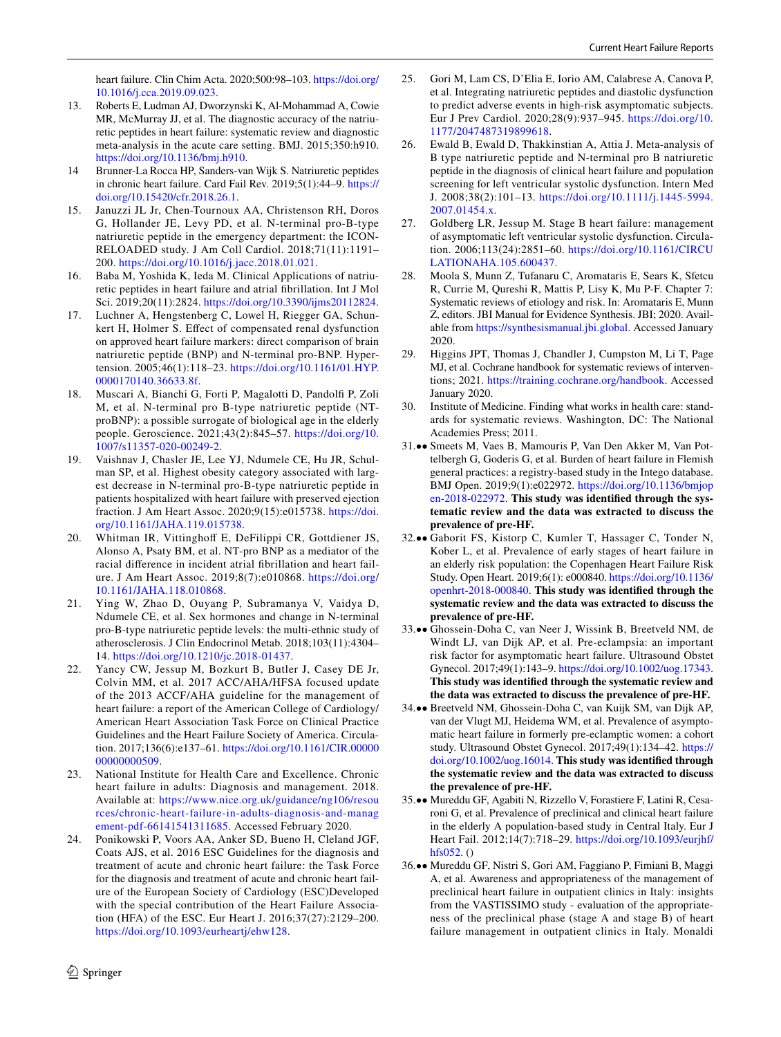heart failure. Clin Chim Acta. 2020;500:98–103. [https://doi.org/](https://doi.org/10.1016/j.cca.2019.09.023) [10.1016/j.cca.2019.09.023.](https://doi.org/10.1016/j.cca.2019.09.023)

- 13. Roberts E, Ludman AJ, Dworzynski K, Al-Mohammad A, Cowie MR, McMurray JJ, et al. The diagnostic accuracy of the natriuretic peptides in heart failure: systematic review and diagnostic meta-analysis in the acute care setting. BMJ. 2015;350:h910. [https://doi.org/10.1136/bmj.h910.](https://doi.org/10.1136/bmj.h910)
- 14 Brunner-La Rocca HP, Sanders-van Wijk S. Natriuretic peptides in chronic heart failure. Card Fail Rev. 2019;5(1):44–9. [https://](https://doi.org/10.15420/cfr.2018.26.1) [doi.org/10.15420/cfr.2018.26.1](https://doi.org/10.15420/cfr.2018.26.1).
- 15. Januzzi JL Jr, Chen-Tournoux AA, Christenson RH, Doros G, Hollander JE, Levy PD, et al. N-terminal pro-B-type natriuretic peptide in the emergency department: the ICON-RELOADED study. J Am Coll Cardiol. 2018;71(11):1191– 200. <https://doi.org/10.1016/j.jacc.2018.01.021>.
- <span id="page-9-0"></span>16. Baba M, Yoshida K, Ieda M. Clinical Applications of natriuretic peptides in heart failure and atrial fbrillation. Int J Mol Sci. 2019;20(11):2824. [https://doi.org/10.3390/ijms20112824.](https://doi.org/10.3390/ijms20112824)
- <span id="page-9-1"></span>17. Luchner A, Hengstenberg C, Lowel H, Riegger GA, Schunkert H, Holmer S. Efect of compensated renal dysfunction on approved heart failure markers: direct comparison of brain natriuretic peptide (BNP) and N-terminal pro-BNP. Hypertension. 2005;46(1):118–23. [https://doi.org/10.1161/01.HYP.](https://doi.org/10.1161/01.HYP.0000170140.36633.8f) [0000170140.36633.8f](https://doi.org/10.1161/01.HYP.0000170140.36633.8f).
- 18. Muscari A, Bianchi G, Forti P, Magalotti D, Pandolf P, Zoli M, et al. N-terminal pro B-type natriuretic peptide (NTproBNP): a possible surrogate of biological age in the elderly people. Geroscience. 2021;43(2):845–57. [https://doi.org/10.](https://doi.org/10.1007/s11357-020-00249-2) [1007/s11357-020-00249-2](https://doi.org/10.1007/s11357-020-00249-2).
- 19. Vaishnav J, Chasler JE, Lee YJ, Ndumele CE, Hu JR, Schulman SP, et al. Highest obesity category associated with largest decrease in N-terminal pro-B-type natriuretic peptide in patients hospitalized with heart failure with preserved ejection fraction. J Am Heart Assoc. 2020;9(15):e015738. [https://doi.](https://doi.org/10.1161/JAHA.119.015738) [org/10.1161/JAHA.119.015738.](https://doi.org/10.1161/JAHA.119.015738)
- 20. Whitman IR, Vittinghof E, DeFilippi CR, Gottdiener JS, Alonso A, Psaty BM, et al. NT-pro BNP as a mediator of the racial diference in incident atrial fbrillation and heart failure. J Am Heart Assoc. 2019;8(7):e010868. [https://doi.org/](https://doi.org/10.1161/JAHA.118.010868) [10.1161/JAHA.118.010868](https://doi.org/10.1161/JAHA.118.010868).
- <span id="page-9-2"></span>21. Ying W, Zhao D, Ouyang P, Subramanya V, Vaidya D, Ndumele CE, et al. Sex hormones and change in N-terminal pro-B-type natriuretic peptide levels: the multi-ethnic study of atherosclerosis. J Clin Endocrinol Metab. 2018;103(11):4304– 14. [https://doi.org/10.1210/jc.2018-01437.](https://doi.org/10.1210/jc.2018-01437)
- <span id="page-9-3"></span>22. Yancy CW, Jessup M, Bozkurt B, Butler J, Casey DE Jr, Colvin MM, et al. 2017 ACC/AHA/HFSA focused update of the 2013 ACCF/AHA guideline for the management of heart failure: a report of the American College of Cardiology/ American Heart Association Task Force on Clinical Practice Guidelines and the Heart Failure Society of America. Circulation. 2017;136(6):e137–61. [https://doi.org/10.1161/CIR.00000](https://doi.org/10.1161/CIR.0000000000000509) [00000000509.](https://doi.org/10.1161/CIR.0000000000000509)
- 23. National Institute for Health Care and Excellence. Chronic heart failure in adults: Diagnosis and management. 2018. Available at: [https://www.nice.org.uk/guidance/ng106/resou](https://www.nice.org.uk/guidance/ng106/resources/chronic-heart-failure-in-adults-diagnosis-and-management-pdf-66141541311685) [rces/chronic-heart-failure-in-adults-diagnosis-and-manag](https://www.nice.org.uk/guidance/ng106/resources/chronic-heart-failure-in-adults-diagnosis-and-management-pdf-66141541311685) [ement-pdf-66141541311685](https://www.nice.org.uk/guidance/ng106/resources/chronic-heart-failure-in-adults-diagnosis-and-management-pdf-66141541311685). Accessed February 2020.
- 24. Ponikowski P, Voors AA, Anker SD, Bueno H, Cleland JGF, Coats AJS, et al. 2016 ESC Guidelines for the diagnosis and treatment of acute and chronic heart failure: the Task Force for the diagnosis and treatment of acute and chronic heart failure of the European Society of Cardiology (ESC)Developed with the special contribution of the Heart Failure Association (HFA) of the ESC. Eur Heart J. 2016;37(27):2129–200. <https://doi.org/10.1093/eurheartj/ehw128>.
- 25. Gori M, Lam CS, D'Elia E, Iorio AM, Calabrese A, Canova P, et al. Integrating natriuretic peptides and diastolic dysfunction to predict adverse events in high-risk asymptomatic subjects. Eur J Prev Cardiol. 2020;28(9):937–945. [https://doi.org/10.](https://doi.org/10.1177/2047487319899618) [1177/2047487319899618.](https://doi.org/10.1177/2047487319899618)
- <span id="page-9-4"></span>26. Ewald B, Ewald D, Thakkinstian A, Attia J. Meta-analysis of B type natriuretic peptide and N-terminal pro B natriuretic peptide in the diagnosis of clinical heart failure and population screening for left ventricular systolic dysfunction. Intern Med J. 2008;38(2):101–13. [https://doi.org/10.1111/j.1445-5994.](https://doi.org/10.1111/j.1445-5994.2007.01454.x) [2007.01454.x.](https://doi.org/10.1111/j.1445-5994.2007.01454.x)
- <span id="page-9-5"></span>27. Goldberg LR, Jessup M. Stage B heart failure: management of asymptomatic left ventricular systolic dysfunction. Circulation. 2006;113(24):2851–60. [https://doi.org/10.1161/CIRCU](https://doi.org/10.1161/CIRCULATIONAHA.105.600437) [LATIONAHA.105.600437](https://doi.org/10.1161/CIRCULATIONAHA.105.600437).
- <span id="page-9-6"></span>28. Moola S, Munn Z, Tufanaru C, Aromataris E, Sears K, Sfetcu R, Currie M, Qureshi R, Mattis P, Lisy K, Mu P-F. Chapter 7: Systematic reviews of etiology and risk. In: Aromataris E, Munn Z, editors. JBI Manual for Evidence Synthesis. JBI; 2020. Available from [https://synthesismanual.jbi.global.](https://synthesismanual.jbi.global) Accessed January 2020.
- <span id="page-9-7"></span>29. Higgins JPT, Thomas J, Chandler J, Cumpston M, Li T, Page MJ, et al. Cochrane handbook for systematic reviews of interventions; 2021. <https://training.cochrane.org/handbook>. Accessed January 2020.
- <span id="page-9-8"></span>30. Institute of Medicine. Finding what works in health care: standards for systematic reviews. Washington, DC: The National Academies Press; 2011.
- <span id="page-9-9"></span>31.•• Smeets M, Vaes B, Mamouris P, Van Den Akker M, Van Pottelbergh G, Goderis G, et al. Burden of heart failure in Flemish general practices: a registry-based study in the Intego database. BMJ Open. 2019;9(1):e022972. [https://doi.org/10.1136/bmjop](https://doi.org/10.1136/bmjopen-2018-022972) [en-2018-022972](https://doi.org/10.1136/bmjopen-2018-022972). **This study was identifed through the systematic review and the data was extracted to discuss the prevalence of pre-HF.**
- <span id="page-9-10"></span>32.•• Gaborit FS, Kistorp C, Kumler T, Hassager C, Tonder N, Kober L, et al. Prevalence of early stages of heart failure in an elderly risk population: the Copenhagen Heart Failure Risk Study. Open Heart. 2019;6(1): e000840. [https://doi.org/10.1136/](https://doi.org/10.1136/openhrt-2018-000840) [openhrt-2018-000840](https://doi.org/10.1136/openhrt-2018-000840). **This study was identifed through the systematic review and the data was extracted to discuss the prevalence of pre-HF.**
- <span id="page-9-11"></span>33.•• Ghossein-Doha C, van Neer J, Wissink B, Breetveld NM, de Windt LJ, van Dijk AP, et al. Pre-eclampsia: an important risk factor for asymptomatic heart failure. Ultrasound Obstet Gynecol. 2017;49(1):143–9.<https://doi.org/10.1002/uog.17343>. **This study was identifed through the systematic review and the data was extracted to discuss the prevalence of pre-HF.**
- <span id="page-9-12"></span>34.•• Breetveld NM, Ghossein-Doha C, van Kuijk SM, van Dijk AP, van der Vlugt MJ, Heidema WM, et al. Prevalence of asymptomatic heart failure in formerly pre-eclamptic women: a cohort study. Ultrasound Obstet Gynecol. 2017;49(1):134–42. [https://](https://doi.org/10.1002/uog.16014) [doi.org/10.1002/uog.16014](https://doi.org/10.1002/uog.16014). **This study was identifed through the systematic review and the data was extracted to discuss the prevalence of pre-HF.**
- <span id="page-9-13"></span>35.•• Mureddu GF, Agabiti N, Rizzello V, Forastiere F, Latini R, Cesaroni G, et al. Prevalence of preclinical and clinical heart failure in the elderly A population-based study in Central Italy. Eur J Heart Fail. 2012;14(7):718–29. [https://doi.org/10.1093/eurjhf/](https://doi.org/10.1093/eurjhf/hfs052) [hfs052](https://doi.org/10.1093/eurjhf/hfs052). ()
- <span id="page-9-14"></span>36.•• Mureddu GF, Nistri S, Gori AM, Faggiano P, Fimiani B, Maggi A, et al. Awareness and appropriateness of the management of preclinical heart failure in outpatient clinics in Italy: insights from the VASTISSIMO study - evaluation of the appropriateness of the preclinical phase (stage A and stage B) of heart failure management in outpatient clinics in Italy. Monaldi